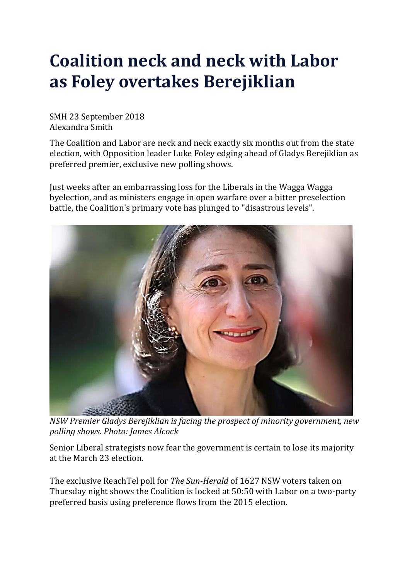## **Coalition neck and neck with Labor as Foley overtakes Berejiklian**

SMH 23 September 2018 Alexandra Smith

The Coalition and Labor are neck and neck exactly six months out from the state election, with Opposition leader Luke Foley edging ahead of Gladys Berejiklian as preferred premier, exclusive new polling shows.

Just weeks after an embarrassing loss for the Liberals in the Wagga Wagga byelection, and as ministers engage in open warfare over a bitter preselection battle, the Coalition's primary vote has plunged to "disastrous levels".



*NSW Premier Gladys Berejiklian is facing the prospect of minority government, new polling shows. Photo: James Alcock*

Senior Liberal strategists now fear the government is certain to lose its majority at the March 23 election.

The exclusive ReachTel poll for *The Sun-Herald* of 1627 NSW voters taken on Thursday night shows the Coalition is locked at 50:50 with Labor on a two-party preferred basis using preference flows from the 2015 election.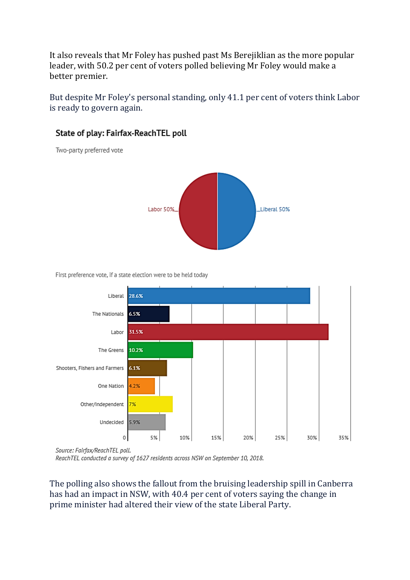It also reveals that Mr Foley has pushed past Ms Berejiklian as the more popular leader, with 50.2 per cent of voters polled believing Mr Foley would make a better premier.

But despite Mr Foley's personal standing, only 41.1 per cent of voters think Labor is ready to govern again.

# Labor 50% Liberal 50%

### State of play: Fairfax-ReachTEL poll

Two-party preferred vote

First preference vote, if a state election were to be held today



Source: Fairfax/ReachTEL poll.

ReachTEL conducted a survey of 1627 residents across NSW on September 10, 2018.

The polling also shows the fallout from the bruising leadership spill in Canberra has had an impact in NSW, with 40.4 per cent of voters saying the change in prime minister had altered their view of the state Liberal Party.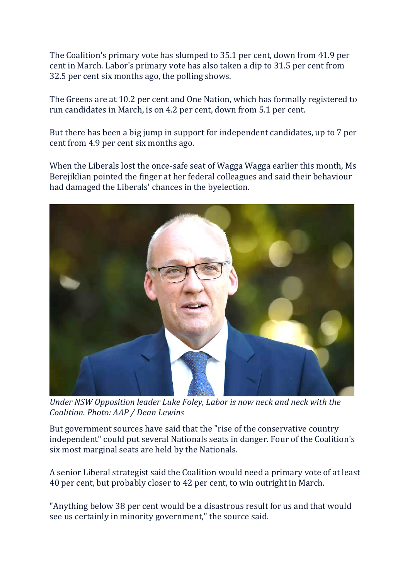The Coalition's primary vote has slumped to 35.1 per cent, down from 41.9 per cent in March. Labor's primary vote has also taken a dip to 31.5 per cent from 32.5 per cent six months ago, the polling shows.

The Greens are at 10.2 per cent and One Nation, which has formally registered to run candidates in March, is on 4.2 per cent, down from 5.1 per cent.

But there has been a big jump in support for independent candidates, up to 7 per cent from 4.9 per cent six months ago.

When the Liberals lost the once-safe seat of Wagga Wagga earlier this month, Ms Berejiklian pointed the finger at her federal colleagues and said their behaviour had damaged the Liberals' chances in the byelection.



*Under NSW Opposition leader Luke Foley, Labor is now neck and neck with the Coalition. Photo: AAP / Dean Lewins*

But government sources have said that the "rise of the conservative country independent" could put several Nationals seats in danger. Four of the Coalition's six most marginal seats are held by the Nationals.

A senior Liberal strategist said the Coalition would need a primary vote of at least 40 per cent, but probably closer to 42 per cent, to win outright in March.

"Anything below 38 per cent would be a disastrous result for us and that would see us certainly in minority government," the source said.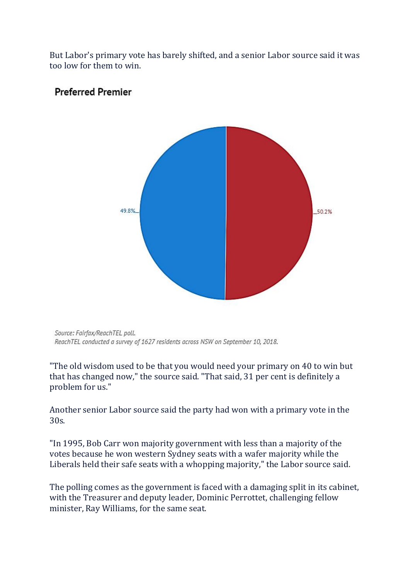But Labor's primary vote has barely shifted, and a senior Labor source said it was too low for them to win.



#### **Preferred Premier**

Source: Fairfax/ReachTEL poll. ReachTEL conducted a survey of 1627 residents across NSW on September 10, 2018.

"The old wisdom used to be that you would need your primary on 40 to win but that has changed now," the source said. "That said, 31 per cent is definitely a problem for us."

Another senior Labor source said the party had won with a primary vote in the 30s.

"In 1995, Bob Carr won majority government with less than a majority of the votes because he won western Sydney seats with a wafer majority while the Liberals held their safe seats with a whopping majority," the Labor source said.

The polling comes as the government is faced with a damaging split in its cabinet, with the Treasurer and deputy leader, Dominic Perrottet, challenging fellow minister, Ray Williams, for the same seat.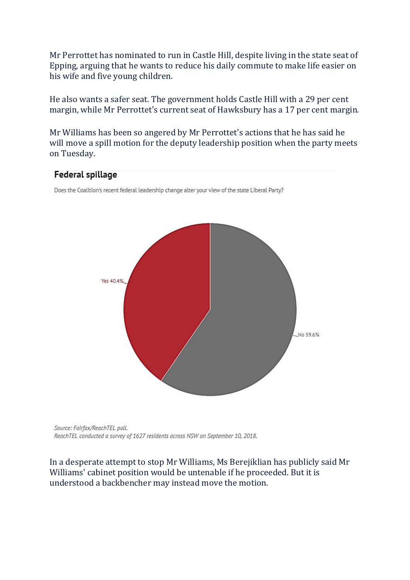Mr Perrottet has nominated to run in Castle Hill, despite living in the state seat of Epping, arguing that he wants to reduce his daily commute to make life easier on his wife and five young children.

He also wants a safer seat. The government holds Castle Hill with a 29 per cent margin, while Mr Perrottet's current seat of Hawksbury has a 17 per cent margin.

Mr Williams has been so angered by Mr Perrottet's actions that he has said he will move a spill motion for the deputy leadership position when the party meets on Tuesday.

#### Federal spillage

Does the Coalition's recent federal leadership change alter your view of the state Liberal Party?



Source: Fairfax/ReachTEL poll. ReachTEL conducted a survey of 1627 residents across NSW on September 10, 2018.

In a desperate attempt to stop Mr Williams, Ms Berejiklian has publicly said Mr Williams' cabinet position would be untenable if he proceeded. But it is understood a backbencher may instead move the motion.